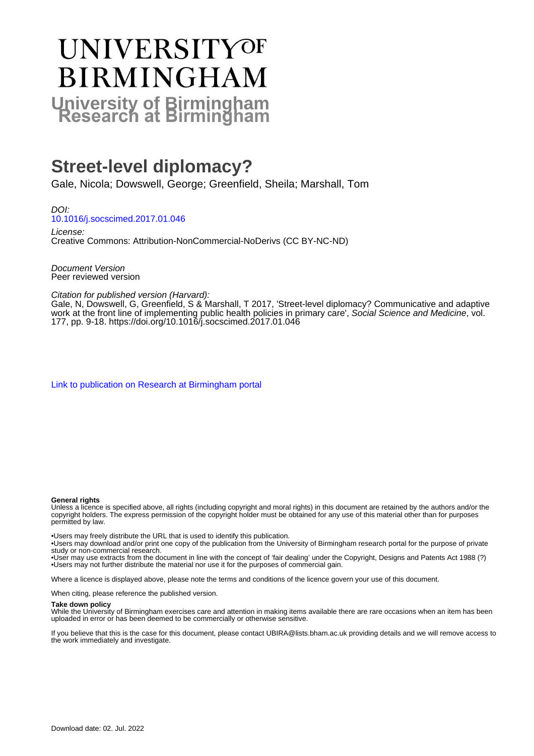# **UNIVERSITYOF BIRMINGHAM University of Birmingham**

# **Street-level diplomacy?**

Gale, Nicola; Dowswell, George; Greenfield, Sheila; Marshall, Tom

DOI: [10.1016/j.socscimed.2017.01.046](https://doi.org/10.1016/j.socscimed.2017.01.046)

License: Creative Commons: Attribution-NonCommercial-NoDerivs (CC BY-NC-ND)

Document Version Peer reviewed version

Citation for published version (Harvard):

Gale, N, Dowswell, G, Greenfield, S & Marshall, T 2017, 'Street-level diplomacy? Communicative and adaptive work at the front line of implementing public health policies in primary care', Social Science and Medicine, vol. 177, pp. 9-18.<https://doi.org/10.1016/j.socscimed.2017.01.046>

[Link to publication on Research at Birmingham portal](https://birmingham.elsevierpure.com/en/publications/6207631d-4d74-4665-9f98-5eed0a02ca51)

#### **General rights**

Unless a licence is specified above, all rights (including copyright and moral rights) in this document are retained by the authors and/or the copyright holders. The express permission of the copyright holder must be obtained for any use of this material other than for purposes permitted by law.

• Users may freely distribute the URL that is used to identify this publication.

• Users may download and/or print one copy of the publication from the University of Birmingham research portal for the purpose of private study or non-commercial research.

• User may use extracts from the document in line with the concept of 'fair dealing' under the Copyright, Designs and Patents Act 1988 (?) • Users may not further distribute the material nor use it for the purposes of commercial gain.

Where a licence is displayed above, please note the terms and conditions of the licence govern your use of this document.

When citing, please reference the published version.

#### **Take down policy**

While the University of Birmingham exercises care and attention in making items available there are rare occasions when an item has been uploaded in error or has been deemed to be commercially or otherwise sensitive.

If you believe that this is the case for this document, please contact UBIRA@lists.bham.ac.uk providing details and we will remove access to the work immediately and investigate.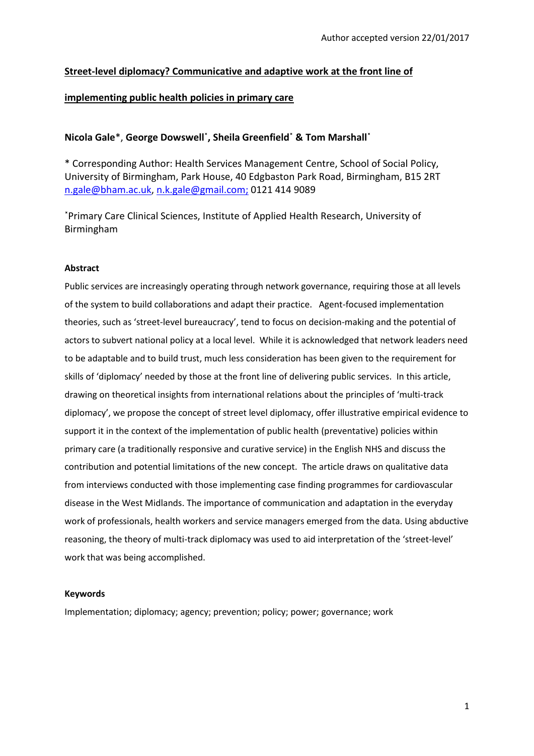# **Street-level diplomacy? Communicative and adaptive work at the front line of**

# **implementing public health policies in primary care**

# **Nicola Gale**\*, **George Dowswell˟, Sheila Greenfield˟ & Tom Marshall˟**

\* Corresponding Author: Health Services Management Centre, School of Social Policy, University of Birmingham, Park House, 40 Edgbaston Park Road, Birmingham, B15 2RT [n.gale@bham.ac.uk,](mailto:n.gale@bham.ac.uk) [n.k.gale@gmail.com;](mailto:n.k.gale@gmail.com) 0121 414 9089

**˟**Primary Care Clinical Sciences, Institute of Applied Health Research, University of Birmingham

### **Abstract**

Public services are increasingly operating through network governance, requiring those at all levels of the system to build collaborations and adapt their practice. Agent-focused implementation theories, such as 'street-level bureaucracy', tend to focus on decision-making and the potential of actors to subvert national policy at a local level. While it is acknowledged that network leaders need to be adaptable and to build trust, much less consideration has been given to the requirement for skills of 'diplomacy' needed by those at the front line of delivering public services. In this article, drawing on theoretical insights from international relations about the principles of 'multi-track diplomacy', we propose the concept of street level diplomacy, offer illustrative empirical evidence to support it in the context of the implementation of public health (preventative) policies within primary care (a traditionally responsive and curative service) in the English NHS and discuss the contribution and potential limitations of the new concept. The article draws on qualitative data from interviews conducted with those implementing case finding programmes for cardiovascular disease in the West Midlands. The importance of communication and adaptation in the everyday work of professionals, health workers and service managers emerged from the data. Using abductive reasoning, the theory of multi-track diplomacy was used to aid interpretation of the 'street-level' work that was being accomplished.

#### **Keywords**

Implementation; diplomacy; agency; prevention; policy; power; governance; work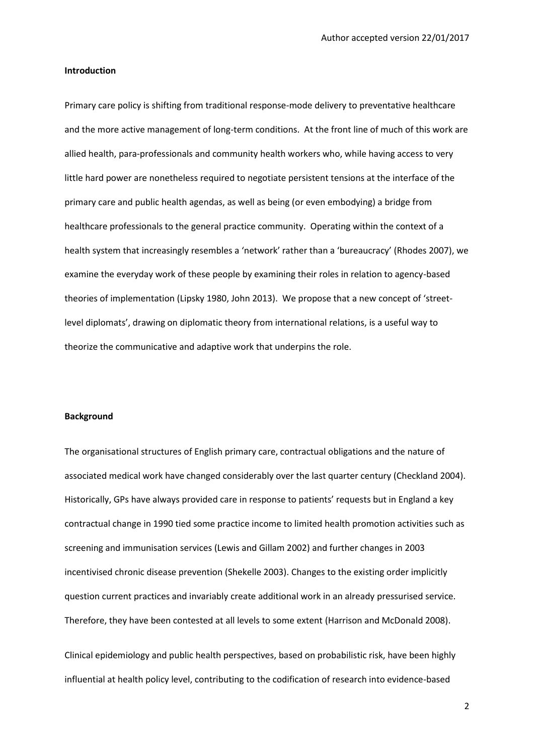#### **Introduction**

Primary care policy is shifting from traditional response-mode delivery to preventative healthcare and the more active management of long-term conditions. At the front line of much of this work are allied health, para-professionals and community health workers who, while having access to very little hard power are nonetheless required to negotiate persistent tensions at the interface of the primary care and public health agendas, as well as being (or even embodying) a bridge from healthcare professionals to the general practice community. Operating within the context of a health system that increasingly resembles a 'network' rather than a 'bureaucracy' (Rhodes 2007), we examine the everyday work of these people by examining their roles in relation to agency-based theories of implementation (Lipsky 1980, John 2013). We propose that a new concept of 'streetlevel diplomats', drawing on diplomatic theory from international relations, is a useful way to theorize the communicative and adaptive work that underpins the role.

## **Background**

The organisational structures of English primary care, contractual obligations and the nature of associated medical work have changed considerably over the last quarter century (Checkland 2004). Historically, GPs have always provided care in response to patients' requests but in England a key contractual change in 1990 tied some practice income to limited health promotion activities such as screening and immunisation services (Lewis and Gillam 2002) and further changes in 2003 incentivised chronic disease prevention (Shekelle 2003). Changes to the existing order implicitly question current practices and invariably create additional work in an already pressurised service. Therefore, they have been contested at all levels to some extent (Harrison and McDonald 2008).

Clinical epidemiology and public health perspectives, based on probabilistic risk, have been highly influential at health policy level, contributing to the codification of research into evidence-based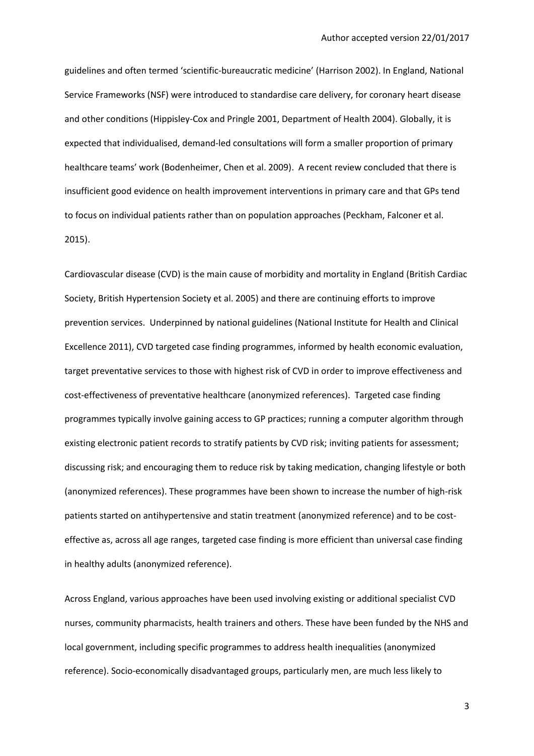guidelines and often termed 'scientific-bureaucratic medicine' (Harrison 2002). In England, National Service Frameworks (NSF) were introduced to standardise care delivery, for coronary heart disease and other conditions (Hippisley-Cox and Pringle 2001, Department of Health 2004). Globally, it is expected that individualised, demand-led consultations will form a smaller proportion of primary healthcare teams' work (Bodenheimer, Chen et al. 2009). A recent review concluded that there is insufficient good evidence on health improvement interventions in primary care and that GPs tend to focus on individual patients rather than on population approaches (Peckham, Falconer et al. 2015).

Cardiovascular disease (CVD) is the main cause of morbidity and mortality in England (British Cardiac Society, British Hypertension Society et al. 2005) and there are continuing efforts to improve prevention services. Underpinned by national guidelines (National Institute for Health and Clinical Excellence 2011), CVD targeted case finding programmes, informed by health economic evaluation, target preventative services to those with highest risk of CVD in order to improve effectiveness and cost-effectiveness of preventative healthcare (anonymized references). Targeted case finding programmes typically involve gaining access to GP practices; running a computer algorithm through existing electronic patient records to stratify patients by CVD risk; inviting patients for assessment; discussing risk; and encouraging them to reduce risk by taking medication, changing lifestyle or both (anonymized references). These programmes have been shown to increase the number of high-risk patients started on antihypertensive and statin treatment (anonymized reference) and to be costeffective as, across all age ranges, targeted case finding is more efficient than universal case finding in healthy adults (anonymized reference).

Across England, various approaches have been used involving existing or additional specialist CVD nurses, community pharmacists, health trainers and others. These have been funded by the NHS and local government, including specific programmes to address health inequalities (anonymized reference). Socio-economically disadvantaged groups, particularly men, are much less likely to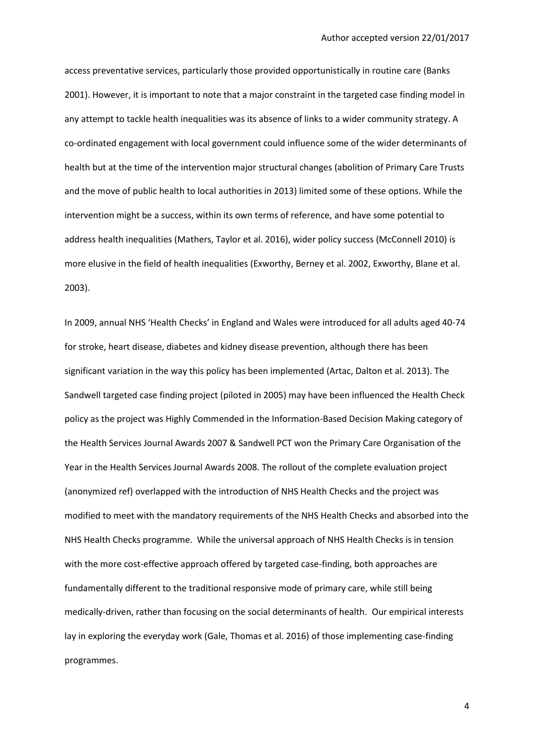access preventative services, particularly those provided opportunistically in routine care (Banks 2001). However, it is important to note that a major constraint in the targeted case finding model in any attempt to tackle health inequalities was its absence of links to a wider community strategy. A co-ordinated engagement with local government could influence some of the wider determinants of health but at the time of the intervention major structural changes (abolition of Primary Care Trusts and the move of public health to local authorities in 2013) limited some of these options. While the intervention might be a success, within its own terms of reference, and have some potential to address health inequalities (Mathers, Taylor et al. 2016), wider policy success (McConnell 2010) is more elusive in the field of health inequalities (Exworthy, Berney et al. 2002, Exworthy, Blane et al. 2003).

In 2009, annual NHS 'Health Checks' in England and Wales were introduced for all adults aged 40-74 for stroke, heart disease, diabetes and kidney disease prevention, although there has been significant variation in the way this policy has been implemented (Artac, Dalton et al. 2013). The Sandwell targeted case finding project (piloted in 2005) may have been influenced the Health Check policy as the project was Highly Commended in the Information-Based Decision Making category of the Health Services Journal Awards 2007 & Sandwell PCT won the Primary Care Organisation of the Year in the Health Services Journal Awards 2008. The rollout of the complete evaluation project (anonymized ref) overlapped with the introduction of NHS Health Checks and the project was modified to meet with the mandatory requirements of the NHS Health Checks and absorbed into the NHS Health Checks programme. While the universal approach of NHS Health Checks is in tension with the more cost-effective approach offered by targeted case-finding, both approaches are fundamentally different to the traditional responsive mode of primary care, while still being medically-driven, rather than focusing on the social determinants of health. Our empirical interests lay in exploring the everyday work (Gale, Thomas et al. 2016) of those implementing case-finding programmes.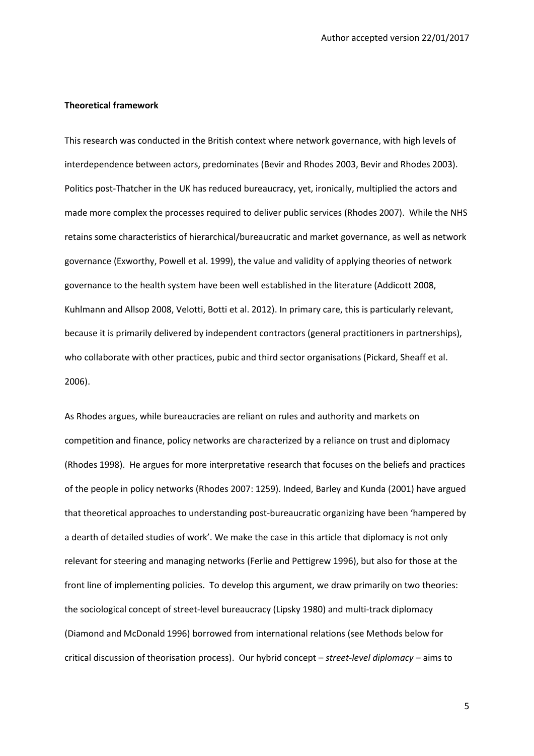#### **Theoretical framework**

This research was conducted in the British context where network governance, with high levels of interdependence between actors, predominates (Bevir and Rhodes 2003, Bevir and Rhodes 2003). Politics post-Thatcher in the UK has reduced bureaucracy, yet, ironically, multiplied the actors and made more complex the processes required to deliver public services (Rhodes 2007). While the NHS retains some characteristics of hierarchical/bureaucratic and market governance, as well as network governance (Exworthy, Powell et al. 1999), the value and validity of applying theories of network governance to the health system have been well established in the literature (Addicott 2008, Kuhlmann and Allsop 2008, Velotti, Botti et al. 2012). In primary care, this is particularly relevant, because it is primarily delivered by independent contractors (general practitioners in partnerships), who collaborate with other practices, pubic and third sector organisations (Pickard, Sheaff et al. 2006).

As Rhodes argues, while bureaucracies are reliant on rules and authority and markets on competition and finance, policy networks are characterized by a reliance on trust and diplomacy (Rhodes 1998). He argues for more interpretative research that focuses on the beliefs and practices of the people in policy networks (Rhodes 2007: 1259). Indeed, Barley and Kunda (2001) have argued that theoretical approaches to understanding post-bureaucratic organizing have been 'hampered by a dearth of detailed studies of work'. We make the case in this article that diplomacy is not only relevant for steering and managing networks (Ferlie and Pettigrew 1996), but also for those at the front line of implementing policies. To develop this argument, we draw primarily on two theories: the sociological concept of street-level bureaucracy (Lipsky 1980) and multi-track diplomacy (Diamond and McDonald 1996) borrowed from international relations (see Methods below for critical discussion of theorisation process). Our hybrid concept – *street-level diplomacy* – aims to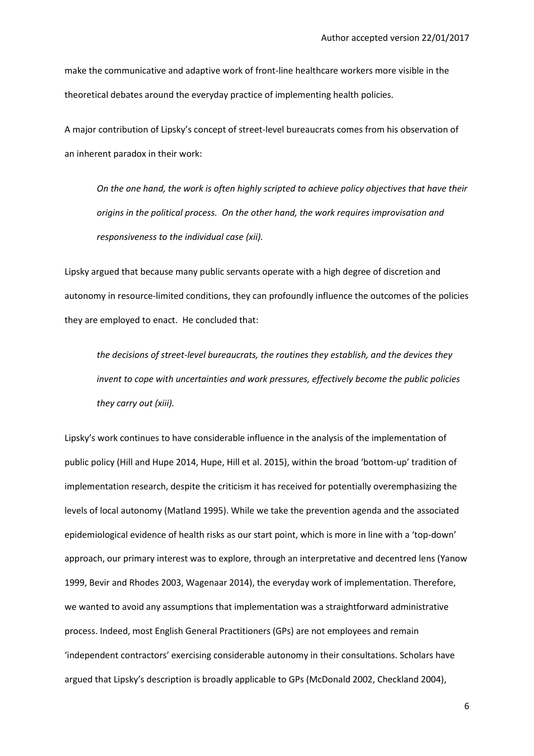make the communicative and adaptive work of front-line healthcare workers more visible in the theoretical debates around the everyday practice of implementing health policies.

A major contribution of Lipsky's concept of street-level bureaucrats comes from his observation of an inherent paradox in their work:

*On the one hand, the work is often highly scripted to achieve policy objectives that have their origins in the political process. On the other hand, the work requires improvisation and responsiveness to the individual case (xii).* 

Lipsky argued that because many public servants operate with a high degree of discretion and autonomy in resource-limited conditions, they can profoundly influence the outcomes of the policies they are employed to enact. He concluded that:

*the decisions of street-level bureaucrats, the routines they establish, and the devices they invent to cope with uncertainties and work pressures, effectively become the public policies they carry out (xiii).* 

Lipsky's work continues to have considerable influence in the analysis of the implementation of public policy (Hill and Hupe 2014, Hupe, Hill et al. 2015), within the broad 'bottom-up' tradition of implementation research, despite the criticism it has received for potentially overemphasizing the levels of local autonomy (Matland 1995). While we take the prevention agenda and the associated epidemiological evidence of health risks as our start point, which is more in line with a 'top-down' approach, our primary interest was to explore, through an interpretative and decentred lens (Yanow 1999, Bevir and Rhodes 2003, Wagenaar 2014), the everyday work of implementation. Therefore, we wanted to avoid any assumptions that implementation was a straightforward administrative process. Indeed, most English General Practitioners (GPs) are not employees and remain 'independent contractors' exercising considerable autonomy in their consultations. Scholars have argued that Lipsky's description is broadly applicable to GPs (McDonald 2002, Checkland 2004),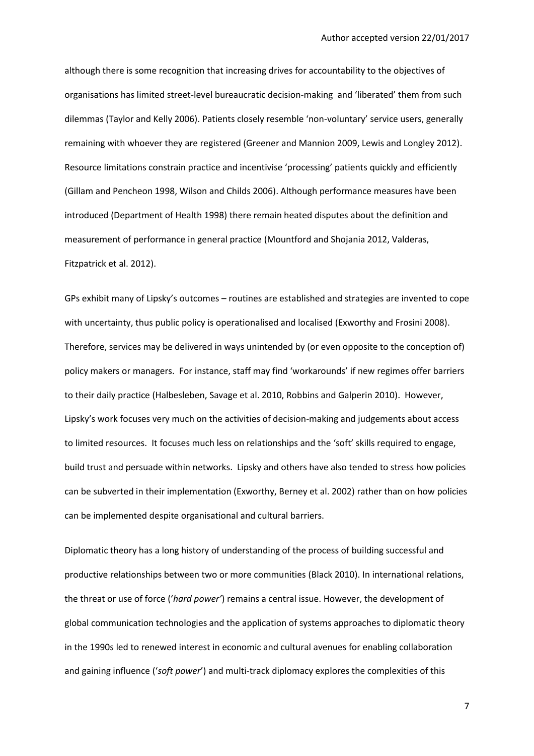although there is some recognition that increasing drives for accountability to the objectives of organisations has limited street-level bureaucratic decision-making and 'liberated' them from such dilemmas (Taylor and Kelly 2006). Patients closely resemble 'non-voluntary' service users, generally remaining with whoever they are registered (Greener and Mannion 2009, Lewis and Longley 2012). Resource limitations constrain practice and incentivise 'processing' patients quickly and efficiently (Gillam and Pencheon 1998, Wilson and Childs 2006). Although performance measures have been introduced (Department of Health 1998) there remain heated disputes about the definition and measurement of performance in general practice (Mountford and Shojania 2012, Valderas, Fitzpatrick et al. 2012).

GPs exhibit many of Lipsky's outcomes – routines are established and strategies are invented to cope with uncertainty, thus public policy is operationalised and localised (Exworthy and Frosini 2008). Therefore, services may be delivered in ways unintended by (or even opposite to the conception of) policy makers or managers. For instance, staff may find 'workarounds' if new regimes offer barriers to their daily practice (Halbesleben, Savage et al. 2010, Robbins and Galperin 2010). However, Lipsky's work focuses very much on the activities of decision-making and judgements about access to limited resources. It focuses much less on relationships and the 'soft' skills required to engage, build trust and persuade within networks. Lipsky and others have also tended to stress how policies can be subverted in their implementation (Exworthy, Berney et al. 2002) rather than on how policies can be implemented despite organisational and cultural barriers.

Diplomatic theory has a long history of understanding of the process of building successful and productive relationships between two or more communities (Black 2010). In international relations, the threat or use of force ('*hard power'*) remains a central issue. However, the development of global communication technologies and the application of systems approaches to diplomatic theory in the 1990s led to renewed interest in economic and cultural avenues for enabling collaboration and gaining influence ('*soft power*') and multi-track diplomacy explores the complexities of this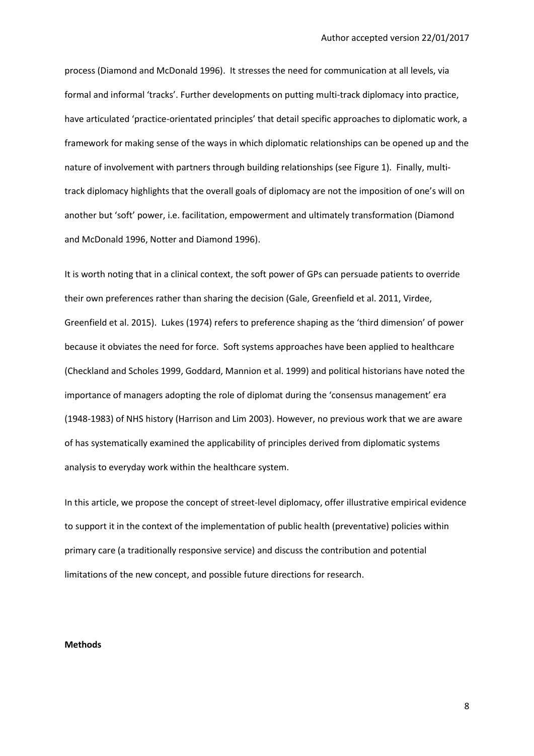process (Diamond and McDonald 1996). It stresses the need for communication at all levels, via formal and informal 'tracks'. Further developments on putting multi-track diplomacy into practice, have articulated 'practice-orientated principles' that detail specific approaches to diplomatic work, a framework for making sense of the ways in which diplomatic relationships can be opened up and the nature of involvement with partners through building relationships (see Figure 1). Finally, multitrack diplomacy highlights that the overall goals of diplomacy are not the imposition of one's will on another but 'soft' power, i.e. facilitation, empowerment and ultimately transformation (Diamond and McDonald 1996, Notter and Diamond 1996).

It is worth noting that in a clinical context, the soft power of GPs can persuade patients to override their own preferences rather than sharing the decision (Gale, Greenfield et al. 2011, Virdee, Greenfield et al. 2015). Lukes (1974) refers to preference shaping as the 'third dimension' of power because it obviates the need for force. Soft systems approaches have been applied to healthcare (Checkland and Scholes 1999, Goddard, Mannion et al. 1999) and political historians have noted the importance of managers adopting the role of diplomat during the 'consensus management' era (1948-1983) of NHS history (Harrison and Lim 2003). However, no previous work that we are aware of has systematically examined the applicability of principles derived from diplomatic systems analysis to everyday work within the healthcare system.

In this article, we propose the concept of street-level diplomacy, offer illustrative empirical evidence to support it in the context of the implementation of public health (preventative) policies within primary care (a traditionally responsive service) and discuss the contribution and potential limitations of the new concept, and possible future directions for research.

#### **Methods**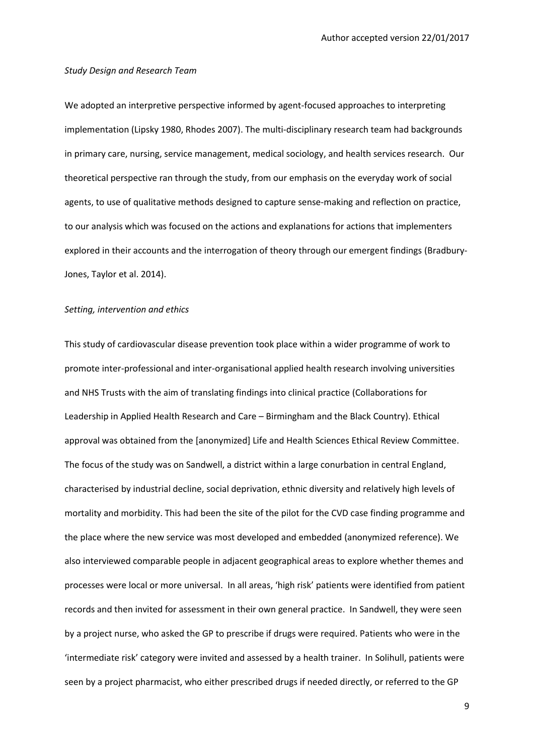#### *Study Design and Research Team*

We adopted an interpretive perspective informed by agent-focused approaches to interpreting implementation (Lipsky 1980, Rhodes 2007). The multi-disciplinary research team had backgrounds in primary care, nursing, service management, medical sociology, and health services research. Our theoretical perspective ran through the study, from our emphasis on the everyday work of social agents, to use of qualitative methods designed to capture sense-making and reflection on practice, to our analysis which was focused on the actions and explanations for actions that implementers explored in their accounts and the interrogation of theory through our emergent findings (Bradbury-Jones, Taylor et al. 2014).

#### *Setting, intervention and ethics*

This study of cardiovascular disease prevention took place within a wider programme of work to promote inter-professional and inter-organisational applied health research involving universities and NHS Trusts with the aim of translating findings into clinical practice (Collaborations for Leadership in Applied Health Research and Care – Birmingham and the Black Country). Ethical approval was obtained from the [anonymized] Life and Health Sciences Ethical Review Committee. The focus of the study was on Sandwell, a district within a large conurbation in central England, characterised by industrial decline, social deprivation, ethnic diversity and relatively high levels of mortality and morbidity. This had been the site of the pilot for the CVD case finding programme and the place where the new service was most developed and embedded (anonymized reference). We also interviewed comparable people in adjacent geographical areas to explore whether themes and processes were local or more universal. In all areas, 'high risk' patients were identified from patient records and then invited for assessment in their own general practice. In Sandwell, they were seen by a project nurse, who asked the GP to prescribe if drugs were required. Patients who were in the 'intermediate risk' category were invited and assessed by a health trainer. In Solihull, patients were seen by a project pharmacist, who either prescribed drugs if needed directly, or referred to the GP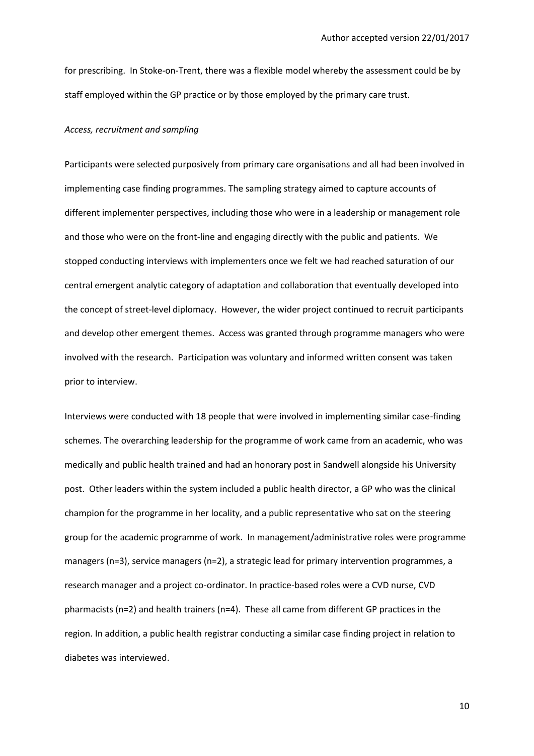for prescribing. In Stoke-on-Trent, there was a flexible model whereby the assessment could be by staff employed within the GP practice or by those employed by the primary care trust.

#### *Access, recruitment and sampling*

Participants were selected purposively from primary care organisations and all had been involved in implementing case finding programmes. The sampling strategy aimed to capture accounts of different implementer perspectives, including those who were in a leadership or management role and those who were on the front-line and engaging directly with the public and patients. We stopped conducting interviews with implementers once we felt we had reached saturation of our central emergent analytic category of adaptation and collaboration that eventually developed into the concept of street-level diplomacy. However, the wider project continued to recruit participants and develop other emergent themes. Access was granted through programme managers who were involved with the research. Participation was voluntary and informed written consent was taken prior to interview.

Interviews were conducted with 18 people that were involved in implementing similar case-finding schemes. The overarching leadership for the programme of work came from an academic, who was medically and public health trained and had an honorary post in Sandwell alongside his University post. Other leaders within the system included a public health director, a GP who was the clinical champion for the programme in her locality, and a public representative who sat on the steering group for the academic programme of work. In management/administrative roles were programme managers (n=3), service managers (n=2), a strategic lead for primary intervention programmes, a research manager and a project co-ordinator. In practice-based roles were a CVD nurse, CVD pharmacists (n=2) and health trainers (n=4). These all came from different GP practices in the region. In addition, a public health registrar conducting a similar case finding project in relation to diabetes was interviewed.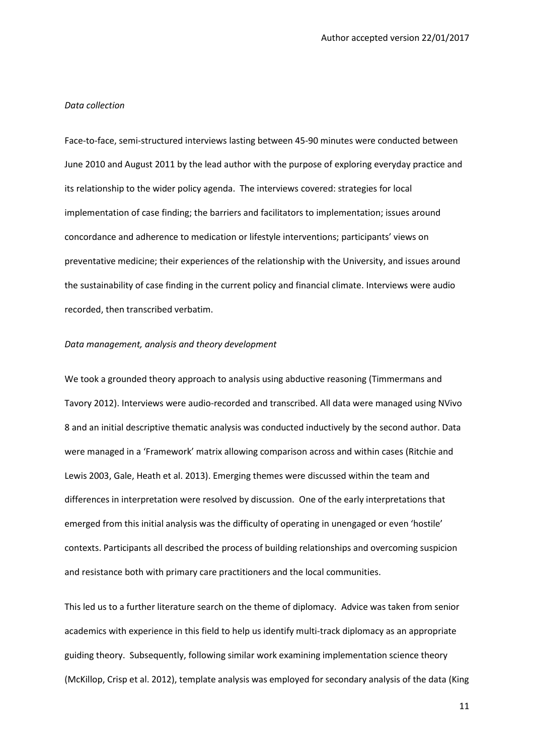#### *Data collection*

Face-to-face, semi-structured interviews lasting between 45-90 minutes were conducted between June 2010 and August 2011 by the lead author with the purpose of exploring everyday practice and its relationship to the wider policy agenda. The interviews covered: strategies for local implementation of case finding; the barriers and facilitators to implementation; issues around concordance and adherence to medication or lifestyle interventions; participants' views on preventative medicine; their experiences of the relationship with the University, and issues around the sustainability of case finding in the current policy and financial climate. Interviews were audio recorded, then transcribed verbatim.

#### *Data management, analysis and theory development*

We took a grounded theory approach to analysis using abductive reasoning (Timmermans and Tavory 2012). Interviews were audio-recorded and transcribed. All data were managed using NVivo 8 and an initial descriptive thematic analysis was conducted inductively by the second author. Data were managed in a 'Framework' matrix allowing comparison across and within cases (Ritchie and Lewis 2003, Gale, Heath et al. 2013). Emerging themes were discussed within the team and differences in interpretation were resolved by discussion. One of the early interpretations that emerged from this initial analysis was the difficulty of operating in unengaged or even 'hostile' contexts. Participants all described the process of building relationships and overcoming suspicion and resistance both with primary care practitioners and the local communities.

This led us to a further literature search on the theme of diplomacy. Advice was taken from senior academics with experience in this field to help us identify multi-track diplomacy as an appropriate guiding theory. Subsequently, following similar work examining implementation science theory (McKillop, Crisp et al. 2012), template analysis was employed for secondary analysis of the data (King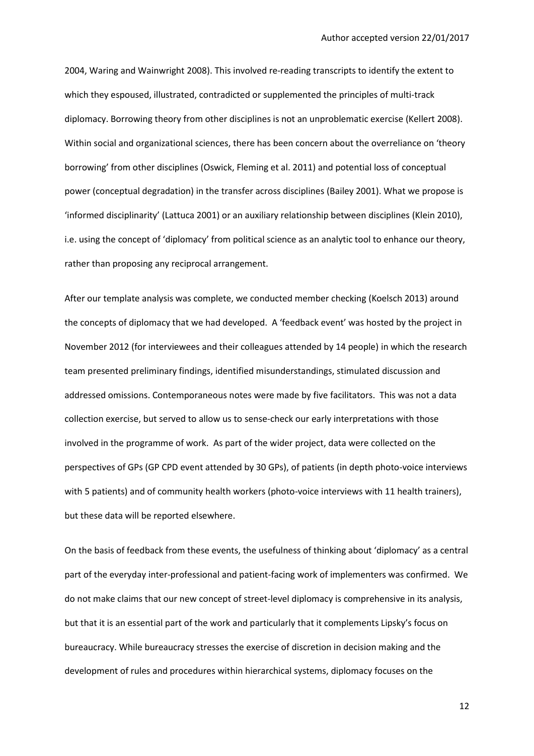2004, Waring and Wainwright 2008). This involved re-reading transcripts to identify the extent to which they espoused, illustrated, contradicted or supplemented the principles of multi-track diplomacy. Borrowing theory from other disciplines is not an unproblematic exercise (Kellert 2008). Within social and organizational sciences, there has been concern about the overreliance on 'theory borrowing' from other disciplines (Oswick, Fleming et al. 2011) and potential loss of conceptual power (conceptual degradation) in the transfer across disciplines (Bailey 2001). What we propose is 'informed disciplinarity' (Lattuca 2001) or an auxiliary relationship between disciplines (Klein 2010), i.e. using the concept of 'diplomacy' from political science as an analytic tool to enhance our theory, rather than proposing any reciprocal arrangement.

After our template analysis was complete, we conducted member checking (Koelsch 2013) around the concepts of diplomacy that we had developed. A 'feedback event' was hosted by the project in November 2012 (for interviewees and their colleagues attended by 14 people) in which the research team presented preliminary findings, identified misunderstandings, stimulated discussion and addressed omissions. Contemporaneous notes were made by five facilitators. This was not a data collection exercise, but served to allow us to sense-check our early interpretations with those involved in the programme of work. As part of the wider project, data were collected on the perspectives of GPs (GP CPD event attended by 30 GPs), of patients (in depth photo-voice interviews with 5 patients) and of community health workers (photo-voice interviews with 11 health trainers), but these data will be reported elsewhere.

On the basis of feedback from these events, the usefulness of thinking about 'diplomacy' as a central part of the everyday inter-professional and patient-facing work of implementers was confirmed. We do not make claims that our new concept of street-level diplomacy is comprehensive in its analysis, but that it is an essential part of the work and particularly that it complements Lipsky's focus on bureaucracy. While bureaucracy stresses the exercise of discretion in decision making and the development of rules and procedures within hierarchical systems, diplomacy focuses on the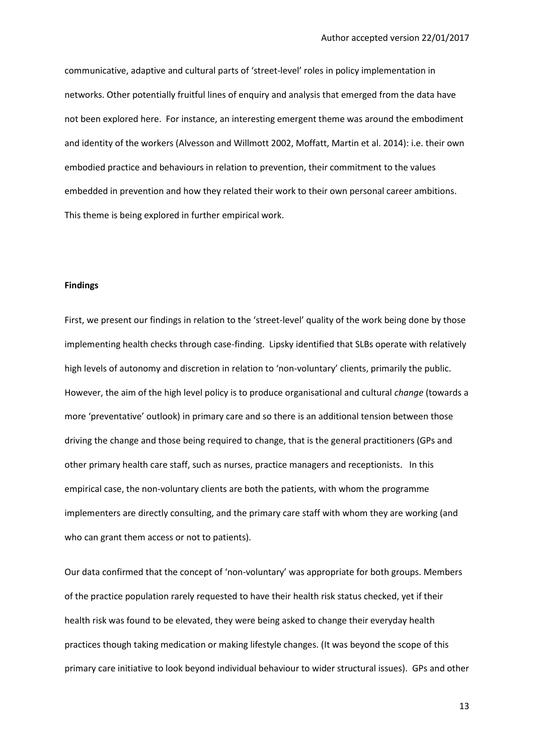communicative, adaptive and cultural parts of 'street-level' roles in policy implementation in networks. Other potentially fruitful lines of enquiry and analysis that emerged from the data have not been explored here. For instance, an interesting emergent theme was around the embodiment and identity of the workers (Alvesson and Willmott 2002, Moffatt, Martin et al. 2014): i.e. their own embodied practice and behaviours in relation to prevention, their commitment to the values embedded in prevention and how they related their work to their own personal career ambitions. This theme is being explored in further empirical work.

#### **Findings**

First, we present our findings in relation to the 'street-level' quality of the work being done by those implementing health checks through case-finding. Lipsky identified that SLBs operate with relatively high levels of autonomy and discretion in relation to 'non-voluntary' clients, primarily the public. However, the aim of the high level policy is to produce organisational and cultural *change* (towards a more 'preventative' outlook) in primary care and so there is an additional tension between those driving the change and those being required to change, that is the general practitioners (GPs and other primary health care staff, such as nurses, practice managers and receptionists. In this empirical case, the non-voluntary clients are both the patients, with whom the programme implementers are directly consulting, and the primary care staff with whom they are working (and who can grant them access or not to patients).

Our data confirmed that the concept of 'non-voluntary' was appropriate for both groups. Members of the practice population rarely requested to have their health risk status checked, yet if their health risk was found to be elevated, they were being asked to change their everyday health practices though taking medication or making lifestyle changes. (It was beyond the scope of this primary care initiative to look beyond individual behaviour to wider structural issues). GPs and other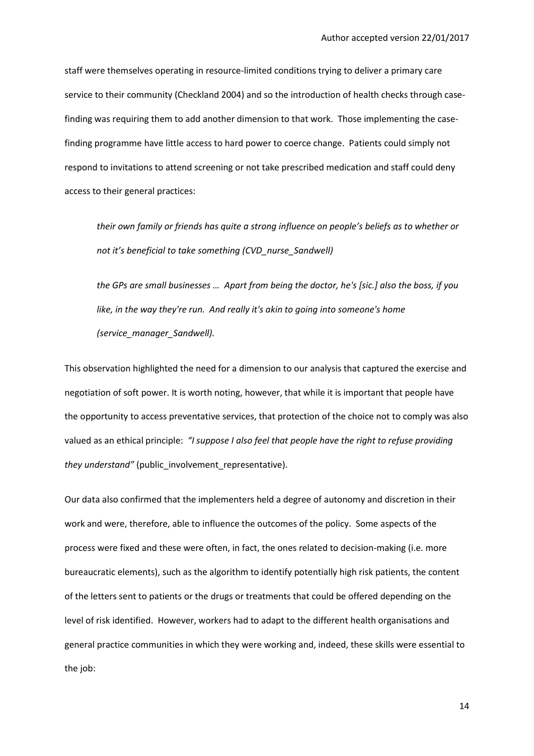staff were themselves operating in resource-limited conditions trying to deliver a primary care service to their community (Checkland 2004) and so the introduction of health checks through casefinding was requiring them to add another dimension to that work. Those implementing the casefinding programme have little access to hard power to coerce change. Patients could simply not respond to invitations to attend screening or not take prescribed medication and staff could deny access to their general practices:

*their own family or friends has quite a strong influence on people's beliefs as to whether or not it's beneficial to take something (CVD\_nurse\_Sandwell)*

*the GPs are small businesses … Apart from being the doctor, he's [sic.] also the boss, if you like, in the way they're run. And really it's akin to going into someone's home (service\_manager\_Sandwell).*

This observation highlighted the need for a dimension to our analysis that captured the exercise and negotiation of soft power. It is worth noting, however, that while it is important that people have the opportunity to access preventative services, that protection of the choice not to comply was also valued as an ethical principle: *"I suppose I also feel that people have the right to refuse providing they understand"* (public\_involvement\_representative).

Our data also confirmed that the implementers held a degree of autonomy and discretion in their work and were, therefore, able to influence the outcomes of the policy. Some aspects of the process were fixed and these were often, in fact, the ones related to decision-making (i.e. more bureaucratic elements), such as the algorithm to identify potentially high risk patients, the content of the letters sent to patients or the drugs or treatments that could be offered depending on the level of risk identified. However, workers had to adapt to the different health organisations and general practice communities in which they were working and, indeed, these skills were essential to the job: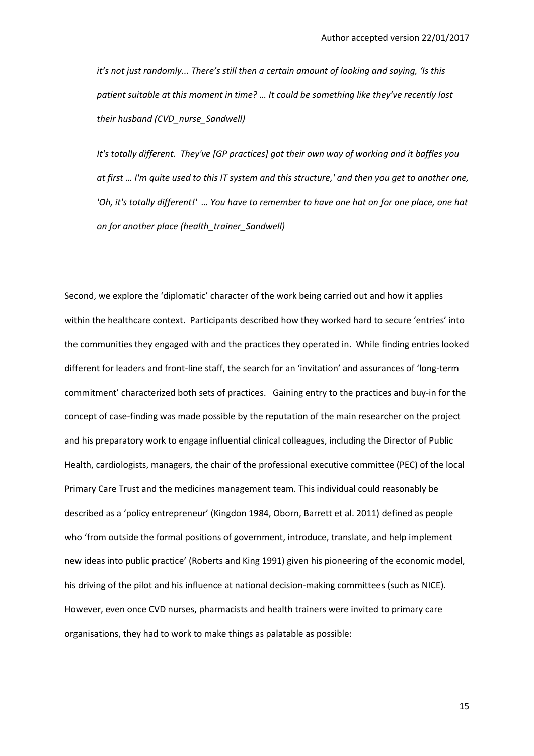*it's not just randomly... There's still then a certain amount of looking and saying, 'Is this patient suitable at this moment in time? … It could be something like they've recently lost their husband (CVD\_nurse\_Sandwell)*

*It's totally different. They've [GP practices] got their own way of working and it baffles you at first … I'm quite used to this IT system and this structure,' and then you get to another one, 'Oh, it's totally different!' … You have to remember to have one hat on for one place, one hat on for another place (health\_trainer\_Sandwell)*

Second, we explore the 'diplomatic' character of the work being carried out and how it applies within the healthcare context. Participants described how they worked hard to secure 'entries' into the communities they engaged with and the practices they operated in. While finding entries looked different for leaders and front-line staff, the search for an 'invitation' and assurances of 'long-term commitment' characterized both sets of practices. Gaining entry to the practices and buy-in for the concept of case-finding was made possible by the reputation of the main researcher on the project and his preparatory work to engage influential clinical colleagues, including the Director of Public Health, cardiologists, managers, the chair of the professional executive committee (PEC) of the local Primary Care Trust and the medicines management team. This individual could reasonably be described as a 'policy entrepreneur' (Kingdon 1984, Oborn, Barrett et al. 2011) defined as people who 'from outside the formal positions of government, introduce, translate, and help implement new ideas into public practice' (Roberts and King 1991) given his pioneering of the economic model, his driving of the pilot and his influence at national decision-making committees (such as NICE). However, even once CVD nurses, pharmacists and health trainers were invited to primary care organisations, they had to work to make things as palatable as possible: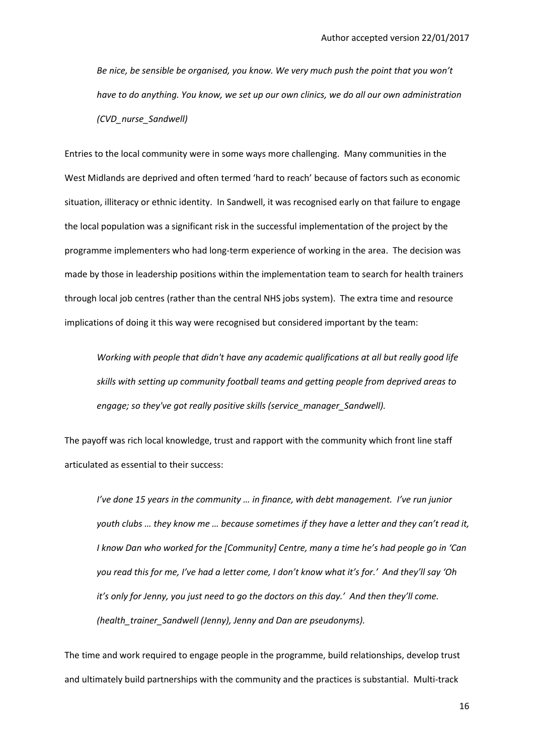*Be nice, be sensible be organised, you know. We very much push the point that you won't have to do anything. You know, we set up our own clinics, we do all our own administration (CVD\_nurse\_Sandwell)*

Entries to the local community were in some ways more challenging. Many communities in the West Midlands are deprived and often termed 'hard to reach' because of factors such as economic situation, illiteracy or ethnic identity. In Sandwell, it was recognised early on that failure to engage the local population was a significant risk in the successful implementation of the project by the programme implementers who had long-term experience of working in the area. The decision was made by those in leadership positions within the implementation team to search for health trainers through local job centres (rather than the central NHS jobs system). The extra time and resource implications of doing it this way were recognised but considered important by the team:

*Working with people that didn't have any academic qualifications at all but really good life skills with setting up community football teams and getting people from deprived areas to engage; so they've got really positive skills (service\_manager\_Sandwell).* 

The payoff was rich local knowledge, trust and rapport with the community which front line staff articulated as essential to their success:

*I've done 15 years in the community … in finance, with debt management. I've run junior youth clubs … they know me … because sometimes if they have a letter and they can't read it, I know Dan who worked for the [Community] Centre, many a time he's had people go in 'Can you read this for me, I've had a letter come, I don't know what it's for.' And they'll say 'Oh it's only for Jenny, you just need to go the doctors on this day.' And then they'll come. (health\_trainer\_Sandwell (Jenny), Jenny and Dan are pseudonyms).*

The time and work required to engage people in the programme, build relationships, develop trust and ultimately build partnerships with the community and the practices is substantial. Multi-track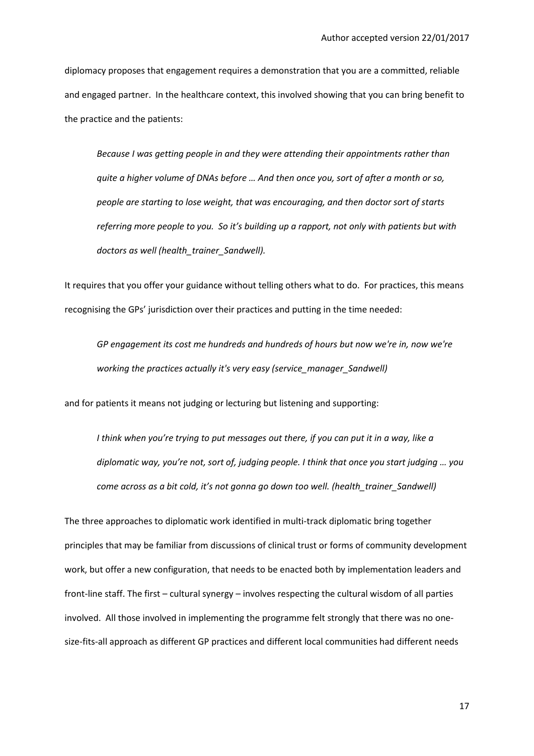diplomacy proposes that engagement requires a demonstration that you are a committed, reliable and engaged partner. In the healthcare context, this involved showing that you can bring benefit to the practice and the patients:

*Because I was getting people in and they were attending their appointments rather than quite a higher volume of DNAs before … And then once you, sort of after a month or so, people are starting to lose weight, that was encouraging, and then doctor sort of starts referring more people to you. So it's building up a rapport, not only with patients but with doctors as well (health\_trainer\_Sandwell).*

It requires that you offer your guidance without telling others what to do. For practices, this means recognising the GPs' jurisdiction over their practices and putting in the time needed:

*GP engagement its cost me hundreds and hundreds of hours but now we're in, now we're working the practices actually it's very easy (service\_manager\_Sandwell)*

and for patients it means not judging or lecturing but listening and supporting:

*I think when you're trying to put messages out there, if you can put it in a way, like a diplomatic way, you're not, sort of, judging people. I think that once you start judging … you come across as a bit cold, it's not gonna go down too well. (health\_trainer\_Sandwell)*

The three approaches to diplomatic work identified in multi-track diplomatic bring together principles that may be familiar from discussions of clinical trust or forms of community development work, but offer a new configuration, that needs to be enacted both by implementation leaders and front-line staff. The first – cultural synergy – involves respecting the cultural wisdom of all parties involved. All those involved in implementing the programme felt strongly that there was no onesize-fits-all approach as different GP practices and different local communities had different needs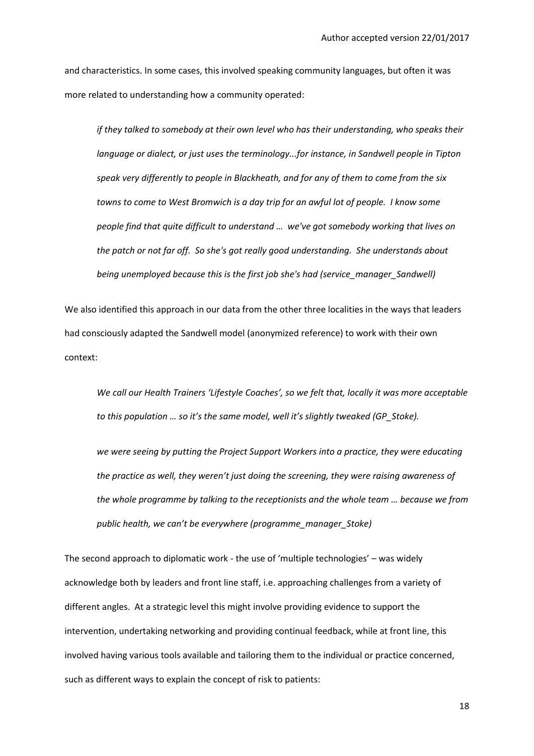and characteristics. In some cases, this involved speaking community languages, but often it was more related to understanding how a community operated:

*if they talked to somebody at their own level who has their understanding, who speaks their language or dialect, or just uses the terminology...for instance, in Sandwell people in Tipton speak very differently to people in Blackheath, and for any of them to come from the six towns to come to West Bromwich is a day trip for an awful lot of people. I know some people find that quite difficult to understand … we've got somebody working that lives on the patch or not far off. So she's got really good understanding. She understands about being unemployed because this is the first job she's had (service\_manager\_Sandwell)*

We also identified this approach in our data from the other three localities in the ways that leaders had consciously adapted the Sandwell model (anonymized reference) to work with their own context:

*We call our Health Trainers 'Lifestyle Coaches', so we felt that, locally it was more acceptable to this population … so it's the same model, well it's slightly tweaked (GP\_Stoke).*

*we were seeing by putting the Project Support Workers into a practice, they were educating the practice as well, they weren't just doing the screening, they were raising awareness of the whole programme by talking to the receptionists and the whole team … because we from public health, we can't be everywhere (programme\_manager\_Stoke)*

The second approach to diplomatic work - the use of 'multiple technologies' – was widely acknowledge both by leaders and front line staff, i.e. approaching challenges from a variety of different angles. At a strategic level this might involve providing evidence to support the intervention, undertaking networking and providing continual feedback, while at front line, this involved having various tools available and tailoring them to the individual or practice concerned, such as different ways to explain the concept of risk to patients: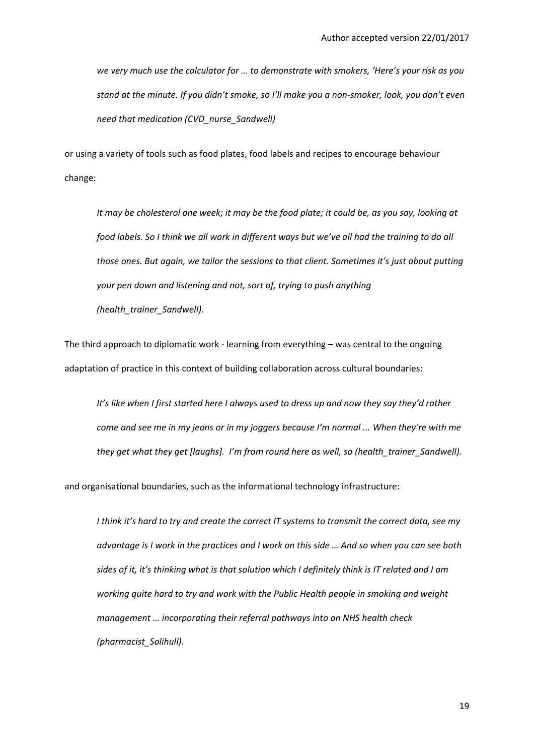*we very much use the calculator for … to demonstrate with smokers, 'Here's your risk as you stand at the minute. If you didn't smoke, so I'll make you a non-smoker, look, you don't even need that medication (CVD\_nurse\_Sandwell)*

or using a variety of tools such as food plates, food labels and recipes to encourage behaviour change:

*It may be cholesterol one week; it may be the food plate; it could be, as you say, looking at food labels. So I think we all work in different ways but we've all had the training to do all those ones. But again, we tailor the sessions to that client. Sometimes it's just about putting your pen down and listening and not, sort of, trying to push anything (health\_trainer\_Sandwell).*

The third approach to diplomatic work - learning from everything – was central to the ongoing adaptation of practice in this context of building collaboration across cultural boundaries:

*It's like when I first started here I always used to dress up and now they say they'd rather come and see me in my jeans or in my joggers because I'm normal ... When they're with me they get what they get [laughs]. I'm from round here as well, so (health\_trainer\_Sandwell).*

and organisational boundaries, such as the informational technology infrastructure:

*I think it's hard to try and create the correct IT systems to transmit the correct data, see my advantage is I work in the practices and I work on this side … And so when you can see both sides of it, it's thinking what is that solution which I definitely think is IT related and I am working quite hard to try and work with the Public Health people in smoking and weight management … incorporating their referral pathways into an NHS health check (pharmacist\_Solihull).*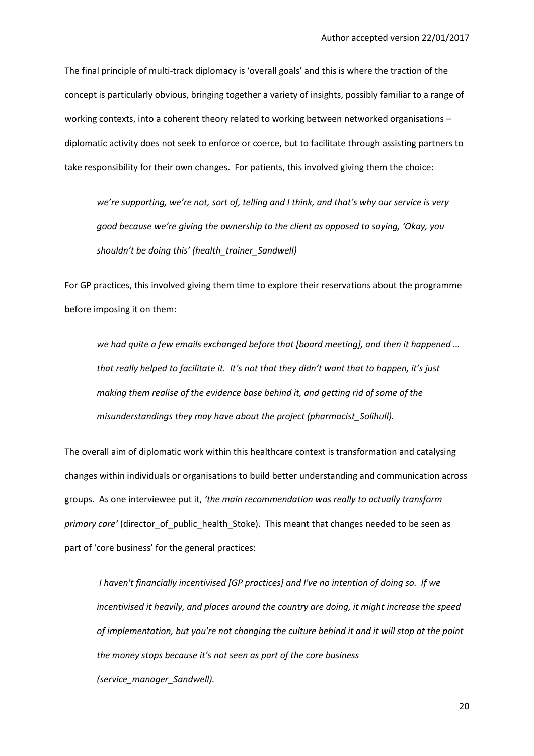The final principle of multi-track diplomacy is 'overall goals' and this is where the traction of the concept is particularly obvious, bringing together a variety of insights, possibly familiar to a range of working contexts, into a coherent theory related to working between networked organisations – diplomatic activity does not seek to enforce or coerce, but to facilitate through assisting partners to take responsibility for their own changes. For patients, this involved giving them the choice:

*we're supporting, we're not, sort of, telling and I think, and that's why our service is very good because we're giving the ownership to the client as opposed to saying, 'Okay, you shouldn't be doing this' (health\_trainer\_Sandwell)*

For GP practices, this involved giving them time to explore their reservations about the programme before imposing it on them:

*we had quite a few emails exchanged before that [board meeting], and then it happened … that really helped to facilitate it. It's not that they didn't want that to happen, it's just making them realise of the evidence base behind it, and getting rid of some of the misunderstandings they may have about the project (pharmacist\_Solihull).*

The overall aim of diplomatic work within this healthcare context is transformation and catalysing changes within individuals or organisations to build better understanding and communication across groups. As one interviewee put it, *'the main recommendation was really to actually transform primary care'* (director of public health Stoke). This meant that changes needed to be seen as part of 'core business' for the general practices:

*I haven't financially incentivised [GP practices] and I've no intention of doing so. If we incentivised it heavily, and places around the country are doing, it might increase the speed of implementation, but you're not changing the culture behind it and it will stop at the point the money stops because it's not seen as part of the core business (service\_manager\_Sandwell).*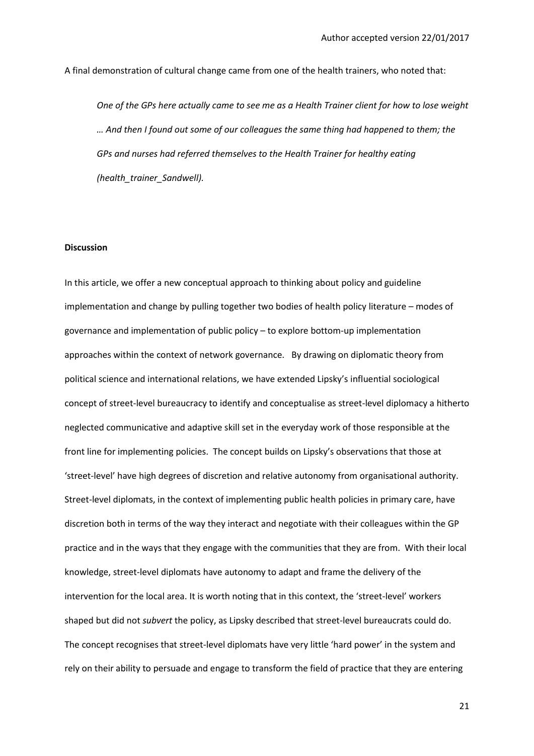A final demonstration of cultural change came from one of the health trainers, who noted that:

*One of the GPs here actually came to see me as a Health Trainer client for how to lose weight … And then I found out some of our colleagues the same thing had happened to them; the GPs and nurses had referred themselves to the Health Trainer for healthy eating (health\_trainer\_Sandwell).*

#### **Discussion**

In this article, we offer a new conceptual approach to thinking about policy and guideline implementation and change by pulling together two bodies of health policy literature – modes of governance and implementation of public policy – to explore bottom-up implementation approaches within the context of network governance. By drawing on diplomatic theory from political science and international relations, we have extended Lipsky's influential sociological concept of street-level bureaucracy to identify and conceptualise as street-level diplomacy a hitherto neglected communicative and adaptive skill set in the everyday work of those responsible at the front line for implementing policies. The concept builds on Lipsky's observations that those at 'street-level' have high degrees of discretion and relative autonomy from organisational authority. Street-level diplomats, in the context of implementing public health policies in primary care, have discretion both in terms of the way they interact and negotiate with their colleagues within the GP practice and in the ways that they engage with the communities that they are from. With their local knowledge, street-level diplomats have autonomy to adapt and frame the delivery of the intervention for the local area. It is worth noting that in this context, the 'street-level' workers shaped but did not *subvert* the policy, as Lipsky described that street-level bureaucrats could do. The concept recognises that street-level diplomats have very little 'hard power' in the system and rely on their ability to persuade and engage to transform the field of practice that they are entering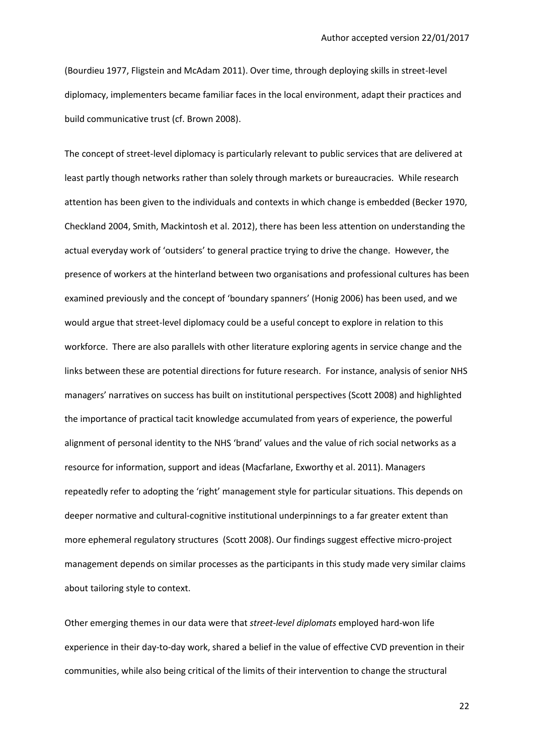(Bourdieu 1977, Fligstein and McAdam 2011). Over time, through deploying skills in street-level diplomacy, implementers became familiar faces in the local environment, adapt their practices and build communicative trust (cf. Brown 2008).

The concept of street-level diplomacy is particularly relevant to public services that are delivered at least partly though networks rather than solely through markets or bureaucracies. While research attention has been given to the individuals and contexts in which change is embedded (Becker 1970, Checkland 2004, Smith, Mackintosh et al. 2012), there has been less attention on understanding the actual everyday work of 'outsiders' to general practice trying to drive the change. However, the presence of workers at the hinterland between two organisations and professional cultures has been examined previously and the concept of 'boundary spanners' (Honig 2006) has been used, and we would argue that street-level diplomacy could be a useful concept to explore in relation to this workforce. There are also parallels with other literature exploring agents in service change and the links between these are potential directions for future research. For instance, analysis of senior NHS managers' narratives on success has built on institutional perspectives (Scott 2008) and highlighted the importance of practical tacit knowledge accumulated from years of experience, the powerful alignment of personal identity to the NHS 'brand' values and the value of rich social networks as a resource for information, support and ideas (Macfarlane, Exworthy et al. 2011). Managers repeatedly refer to adopting the 'right' management style for particular situations. This depends on deeper normative and cultural-cognitive institutional underpinnings to a far greater extent than more ephemeral regulatory structures (Scott 2008). Our findings suggest effective micro-project management depends on similar processes as the participants in this study made very similar claims about tailoring style to context.

Other emerging themes in our data were that *street-level diplomats* employed hard-won life experience in their day-to-day work, shared a belief in the value of effective CVD prevention in their communities, while also being critical of the limits of their intervention to change the structural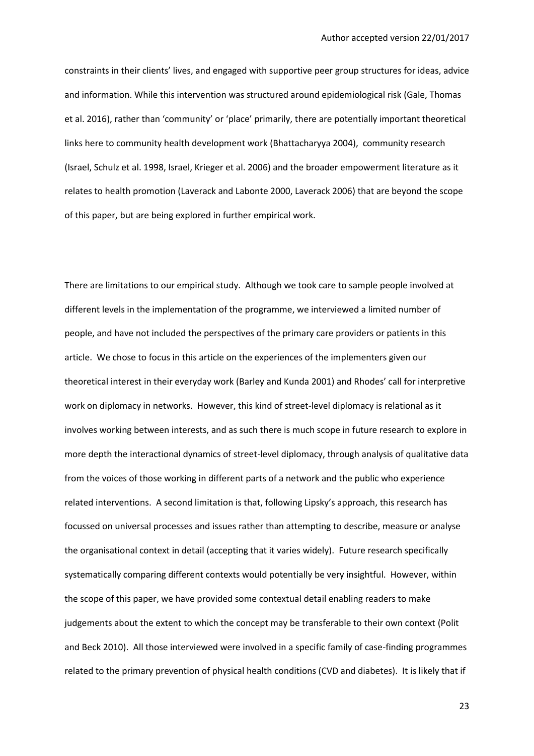constraints in their clients' lives, and engaged with supportive peer group structures for ideas, advice and information. While this intervention was structured around epidemiological risk (Gale, Thomas et al. 2016), rather than 'community' or 'place' primarily, there are potentially important theoretical links here to community health development work (Bhattacharyya 2004), community research (Israel, Schulz et al. 1998, Israel, Krieger et al. 2006) and the broader empowerment literature as it relates to health promotion (Laverack and Labonte 2000, Laverack 2006) that are beyond the scope of this paper, but are being explored in further empirical work.

There are limitations to our empirical study. Although we took care to sample people involved at different levels in the implementation of the programme, we interviewed a limited number of people, and have not included the perspectives of the primary care providers or patients in this article. We chose to focus in this article on the experiences of the implementers given our theoretical interest in their everyday work (Barley and Kunda 2001) and Rhodes' call for interpretive work on diplomacy in networks. However, this kind of street-level diplomacy is relational as it involves working between interests, and as such there is much scope in future research to explore in more depth the interactional dynamics of street-level diplomacy, through analysis of qualitative data from the voices of those working in different parts of a network and the public who experience related interventions. A second limitation is that, following Lipsky's approach, this research has focussed on universal processes and issues rather than attempting to describe, measure or analyse the organisational context in detail (accepting that it varies widely). Future research specifically systematically comparing different contexts would potentially be very insightful. However, within the scope of this paper, we have provided some contextual detail enabling readers to make judgements about the extent to which the concept may be transferable to their own context (Polit and Beck 2010). All those interviewed were involved in a specific family of case-finding programmes related to the primary prevention of physical health conditions (CVD and diabetes). It is likely that if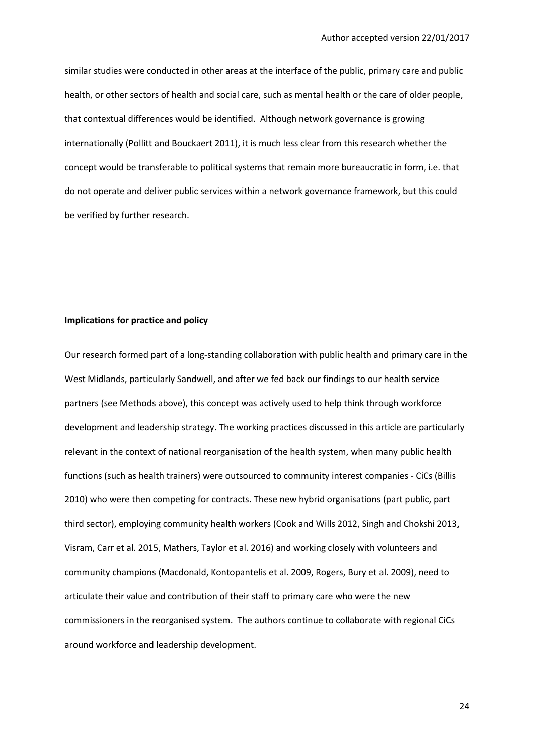similar studies were conducted in other areas at the interface of the public, primary care and public health, or other sectors of health and social care, such as mental health or the care of older people, that contextual differences would be identified. Although network governance is growing internationally (Pollitt and Bouckaert 2011), it is much less clear from this research whether the concept would be transferable to political systems that remain more bureaucratic in form, i.e. that do not operate and deliver public services within a network governance framework, but this could be verified by further research.

#### **Implications for practice and policy**

Our research formed part of a long-standing collaboration with public health and primary care in the West Midlands, particularly Sandwell, and after we fed back our findings to our health service partners (see Methods above), this concept was actively used to help think through workforce development and leadership strategy. The working practices discussed in this article are particularly relevant in the context of national reorganisation of the health system, when many public health functions (such as health trainers) were outsourced to community interest companies - CiCs (Billis 2010) who were then competing for contracts. These new hybrid organisations (part public, part third sector), employing community health workers (Cook and Wills 2012, Singh and Chokshi 2013, Visram, Carr et al. 2015, Mathers, Taylor et al. 2016) and working closely with volunteers and community champions (Macdonald, Kontopantelis et al. 2009, Rogers, Bury et al. 2009), need to articulate their value and contribution of their staff to primary care who were the new commissioners in the reorganised system. The authors continue to collaborate with regional CiCs around workforce and leadership development.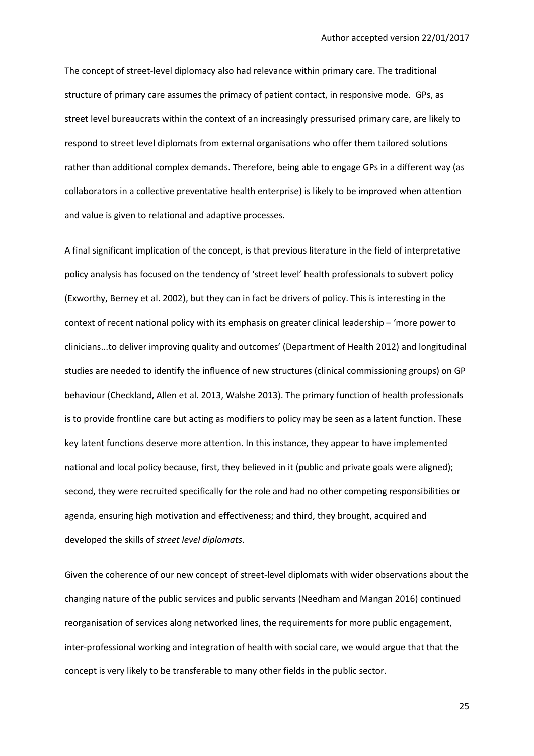The concept of street-level diplomacy also had relevance within primary care. The traditional structure of primary care assumes the primacy of patient contact, in responsive mode. GPs, as street level bureaucrats within the context of an increasingly pressurised primary care, are likely to respond to street level diplomats from external organisations who offer them tailored solutions rather than additional complex demands. Therefore, being able to engage GPs in a different way (as collaborators in a collective preventative health enterprise) is likely to be improved when attention and value is given to relational and adaptive processes.

A final significant implication of the concept, is that previous literature in the field of interpretative policy analysis has focused on the tendency of 'street level' health professionals to subvert policy (Exworthy, Berney et al. 2002), but they can in fact be drivers of policy. This is interesting in the context of recent national policy with its emphasis on greater clinical leadership – 'more power to clinicians...to deliver improving quality and outcomes' (Department of Health 2012) and longitudinal studies are needed to identify the influence of new structures (clinical commissioning groups) on GP behaviour (Checkland, Allen et al. 2013, Walshe 2013). The primary function of health professionals is to provide frontline care but acting as modifiers to policy may be seen as a latent function. These key latent functions deserve more attention. In this instance, they appear to have implemented national and local policy because, first, they believed in it (public and private goals were aligned); second, they were recruited specifically for the role and had no other competing responsibilities or agenda, ensuring high motivation and effectiveness; and third, they brought, acquired and developed the skills of *street level diplomats*.

Given the coherence of our new concept of street-level diplomats with wider observations about the changing nature of the public services and public servants (Needham and Mangan 2016) continued reorganisation of services along networked lines, the requirements for more public engagement, inter-professional working and integration of health with social care, we would argue that that the concept is very likely to be transferable to many other fields in the public sector.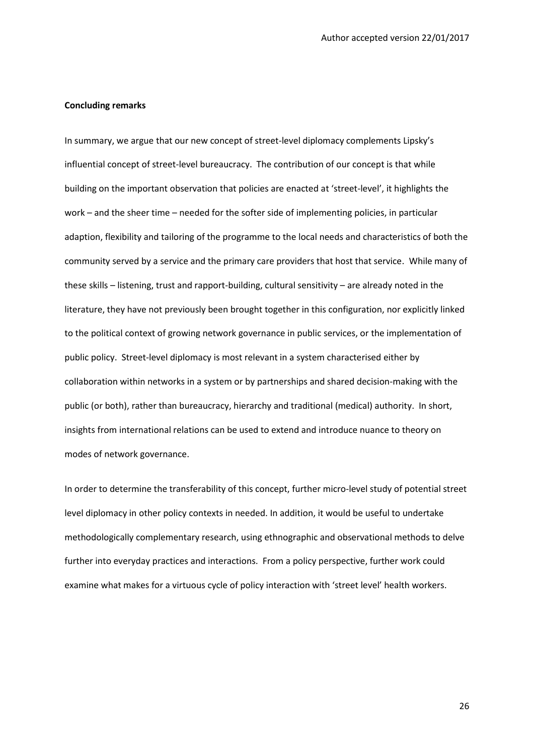#### **Concluding remarks**

In summary, we argue that our new concept of street-level diplomacy complements Lipsky's influential concept of street-level bureaucracy. The contribution of our concept is that while building on the important observation that policies are enacted at 'street-level', it highlights the work – and the sheer time – needed for the softer side of implementing policies, in particular adaption, flexibility and tailoring of the programme to the local needs and characteristics of both the community served by a service and the primary care providers that host that service. While many of these skills – listening, trust and rapport-building, cultural sensitivity – are already noted in the literature, they have not previously been brought together in this configuration, nor explicitly linked to the political context of growing network governance in public services, or the implementation of public policy. Street-level diplomacy is most relevant in a system characterised either by collaboration within networks in a system or by partnerships and shared decision-making with the public (or both), rather than bureaucracy, hierarchy and traditional (medical) authority. In short, insights from international relations can be used to extend and introduce nuance to theory on modes of network governance.

In order to determine the transferability of this concept, further micro-level study of potential street level diplomacy in other policy contexts in needed. In addition, it would be useful to undertake methodologically complementary research, using ethnographic and observational methods to delve further into everyday practices and interactions. From a policy perspective, further work could examine what makes for a virtuous cycle of policy interaction with 'street level' health workers.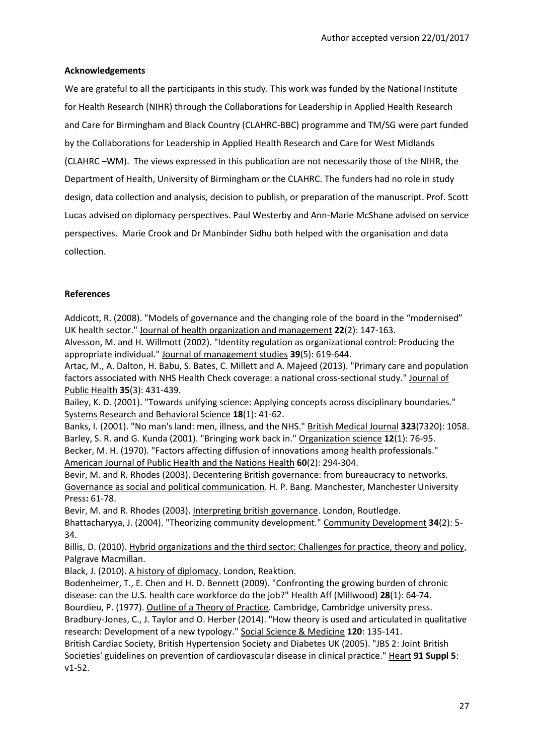# **Acknowledgements**

We are grateful to all the participants in this study. This work was funded by the National Institute for Health Research (NIHR) through the Collaborations for Leadership in Applied Health Research and Care for Birmingham and Black Country (CLAHRC-BBC) programme and TM/SG were part funded by the Collaborations for Leadership in Applied Health Research and Care for West Midlands (CLAHRC –WM). The views expressed in this publication are not necessarily those of the NIHR, the Department of Health, University of Birmingham or the CLAHRC. The funders had no role in study design, data collection and analysis, decision to publish, or preparation of the manuscript. Prof. Scott Lucas advised on diplomacy perspectives. Paul Westerby and Ann-Marie McShane advised on service perspectives. Marie Crook and Dr Manbinder Sidhu both helped with the organisation and data collection.

# **References**

Addicott, R. (2008). "Models of governance and the changing role of the board in the "modernised" UK health sector." Journal of health organization and management **22**(2): 147-163.

Alvesson, M. and H. Willmott (2002). "Identity regulation as organizational control: Producing the appropriate individual." Journal of management studies **39**(5): 619-644.

Artac, M., A. Dalton, H. Babu, S. Bates, C. Millett and A. Majeed (2013). "Primary care and population factors associated with NHS Health Check coverage: a national cross-sectional study." Journal of Public Health **35**(3): 431-439.

Bailey, K. D. (2001). "Towards unifying science: Applying concepts across disciplinary boundaries." Systems Research and Behavioral Science **18**(1): 41-62.

Banks, I. (2001). "No man's land: men, illness, and the NHS." British Medical Journal **323**(7320): 1058. Barley, S. R. and G. Kunda (2001). "Bringing work back in." Organization science **12**(1): 76-95. Becker, M. H. (1970). "Factors affecting diffusion of innovations among health professionals." American Journal of Public Health and the Nations Health **60**(2): 294-304.

Bevir, M. and R. Rhodes (2003). Decentering British governance: from bureaucracy to networks. Governance as social and political communication. H. P. Bang. Manchester, Manchester University Press**:** 61-78.

Bevir, M. and R. Rhodes (2003). Interpreting british governance. London, Routledge. Bhattacharyya, J. (2004). "Theorizing community development." Community Development **34**(2): 5- 34.

Billis, D. (2010). Hybrid organizations and the third sector: Challenges for practice, theory and policy, Palgrave Macmillan.

Black, J. (2010). A history of diplomacy. London, Reaktion.

Bodenheimer, T., E. Chen and H. D. Bennett (2009). "Confronting the growing burden of chronic disease: can the U.S. health care workforce do the job?" Health Aff (Millwood) **28**(1): 64-74. Bourdieu, P. (1977). Outline of a Theory of Practice. Cambridge, Cambridge university press.

Bradbury-Jones, C., J. Taylor and O. Herber (2014). "How theory is used and articulated in qualitative research: Development of a new typology." Social Science & Medicine **120**: 135-141.

British Cardiac Society, British Hypertension Society and Diabetes UK (2005). "JBS 2: Joint British Societies' guidelines on prevention of cardiovascular disease in clinical practice." Heart **91 Suppl 5**: v1-52.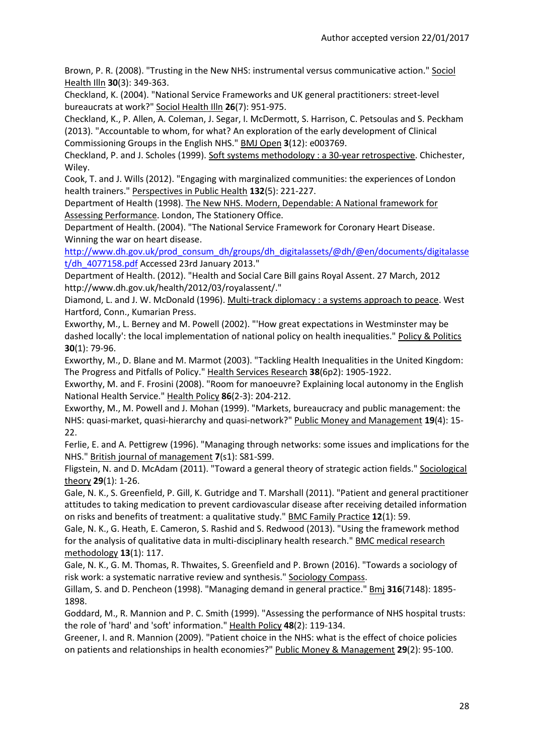Brown, P. R. (2008). "Trusting in the New NHS: instrumental versus communicative action." Sociol Health Illn **30**(3): 349-363.

Checkland, K. (2004). "National Service Frameworks and UK general practitioners: street-level bureaucrats at work?" Sociol Health Illn **26**(7): 951-975.

Checkland, K., P. Allen, A. Coleman, J. Segar, I. McDermott, S. Harrison, C. Petsoulas and S. Peckham (2013). "Accountable to whom, for what? An exploration of the early development of Clinical Commissioning Groups in the English NHS." BMJ Open **3**(12): e003769.

Checkland, P. and J. Scholes (1999). Soft systems methodology : a 30-year retrospective. Chichester, Wiley.

Cook, T. and J. Wills (2012). "Engaging with marginalized communities: the experiences of London health trainers." Perspectives in Public Health **132**(5): 221-227.

Department of Health (1998). The New NHS. Modern, Dependable: A National framework for Assessing Performance. London, The Stationery Office.

Department of Health. (2004). "The National Service Framework for Coronary Heart Disease. Winning the war on heart disease.

[http://www.dh.gov.uk/prod\\_consum\\_dh/groups/dh\\_digitalassets/@dh/@en/documents/digitalasse](http://www.dh.gov.uk/prod_consum_dh/groups/dh_digitalassets/@dh/@en/documents/digitalasset/dh_4077158.pdf) [t/dh\\_4077158.pdf](http://www.dh.gov.uk/prod_consum_dh/groups/dh_digitalassets/@dh/@en/documents/digitalasset/dh_4077158.pdf) Accessed 23rd January 2013."

Department of Health. (2012). "Health and Social Care Bill gains Royal Assent. 27 March, 2012 http://www.dh.gov.uk/health/2012/03/royalassent/."

Diamond, L. and J. W. McDonald (1996). Multi-track diplomacy : a systems approach to peace. West Hartford, Conn., Kumarian Press.

Exworthy, M., L. Berney and M. Powell (2002). "'How great expectations in Westminster may be dashed locally': the local implementation of national policy on health inequalities." Policy & Politics **30**(1): 79-96.

Exworthy, M., D. Blane and M. Marmot (2003). "Tackling Health Inequalities in the United Kingdom: The Progress and Pitfalls of Policy." Health Services Research **38**(6p2): 1905-1922.

Exworthy, M. and F. Frosini (2008). "Room for manoeuvre? Explaining local autonomy in the English National Health Service." Health Policy **86**(2-3): 204-212.

Exworthy, M., M. Powell and J. Mohan (1999). "Markets, bureaucracy and public management: the NHS: quasi-market, quasi-hierarchy and quasi-network?" Public Money and Management **19**(4): 15- 22.

Ferlie, E. and A. Pettigrew (1996). "Managing through networks: some issues and implications for the NHS." British journal of management **7**(s1): S81-S99.

Fligstein, N. and D. McAdam (2011). "Toward a general theory of strategic action fields." Sociological theory **29**(1): 1-26.

Gale, N. K., S. Greenfield, P. Gill, K. Gutridge and T. Marshall (2011). "Patient and general practitioner attitudes to taking medication to prevent cardiovascular disease after receiving detailed information on risks and benefits of treatment: a qualitative study." BMC Family Practice **12**(1): 59.

Gale, N. K., G. Heath, E. Cameron, S. Rashid and S. Redwood (2013). "Using the framework method for the analysis of qualitative data in multi-disciplinary health research." BMC medical research methodology **13**(1): 117.

Gale, N. K., G. M. Thomas, R. Thwaites, S. Greenfield and P. Brown (2016). "Towards a sociology of risk work: a systematic narrative review and synthesis." Sociology Compass.

Gillam, S. and D. Pencheon (1998). "Managing demand in general practice." Bmj **316**(7148): 1895- 1898.

Goddard, M., R. Mannion and P. C. Smith (1999). "Assessing the performance of NHS hospital trusts: the role of 'hard' and 'soft' information." Health Policy **48**(2): 119-134.

Greener, I. and R. Mannion (2009). "Patient choice in the NHS: what is the effect of choice policies on patients and relationships in health economies?" Public Money & Management **29**(2): 95-100.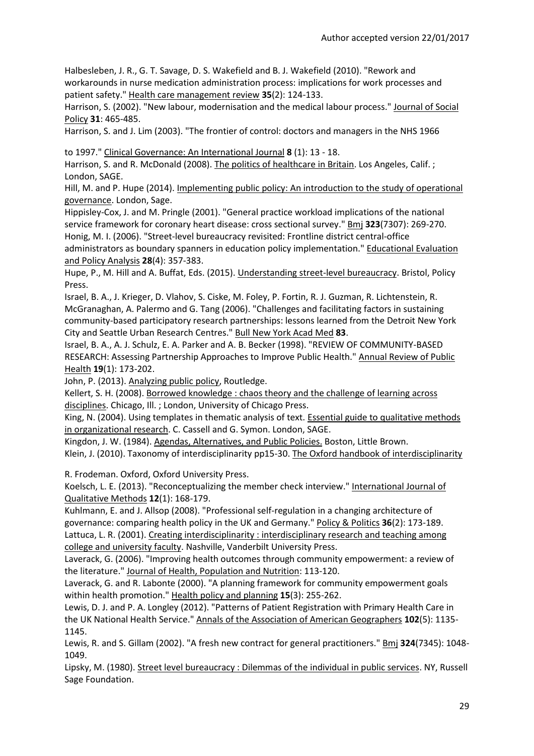Halbesleben, J. R., G. T. Savage, D. S. Wakefield and B. J. Wakefield (2010). "Rework and workarounds in nurse medication administration process: implications for work processes and patient safety." Health care management review **35**(2): 124-133.

Harrison, S. (2002). "New labour, modernisation and the medical labour process." Journal of Social Policy **31**: 465-485.

Harrison, S. and J. Lim (2003). "The frontier of control: doctors and managers in the NHS 1966

to 1997." Clinical Governance: An International Journal **8** (1): 13 - 18.

Harrison, S. and R. McDonald (2008). The politics of healthcare in Britain. Los Angeles, Calif. ; London, SAGE.

Hill, M. and P. Hupe (2014). Implementing public policy: An introduction to the study of operational governance. London, Sage.

Hippisley-Cox, J. and M. Pringle (2001). "General practice workload implications of the national service framework for coronary heart disease: cross sectional survey." Bmj **323**(7307): 269-270. Honig, M. I. (2006). "Street-level bureaucracy revisited: Frontline district central-office

administrators as boundary spanners in education policy implementation." Educational Evaluation and Policy Analysis **28**(4): 357-383.

Hupe, P., M. Hill and A. Buffat, Eds. (2015). Understanding street-level bureaucracy. Bristol, Policy Press.

Israel, B. A., J. Krieger, D. Vlahov, S. Ciske, M. Foley, P. Fortin, R. J. Guzman, R. Lichtenstein, R. McGranaghan, A. Palermo and G. Tang (2006). "Challenges and facilitating factors in sustaining community-based participatory research partnerships: lessons learned from the Detroit New York City and Seattle Urban Research Centres." Bull New York Acad Med **83**.

Israel, B. A., A. J. Schulz, E. A. Parker and A. B. Becker (1998). "REVIEW OF COMMUNITY-BASED RESEARCH: Assessing Partnership Approaches to Improve Public Health." Annual Review of Public Health **19**(1): 173-202.

John, P. (2013). Analyzing public policy, Routledge.

Kellert, S. H. (2008). Borrowed knowledge : chaos theory and the challenge of learning across disciplines. Chicago, Ill. ; London, University of Chicago Press.

King, N. (2004). Using templates in thematic analysis of text. Essential guide to qualitative methods in organizational research. C. Cassell and G. Symon. London, SAGE.

Kingdon, J. W. (1984). Agendas, Alternatives, and Public Policies. Boston, Little Brown.

Klein, J. (2010). Taxonomy of interdisciplinarity pp15-30. The Oxford handbook of interdisciplinarity

R. Frodeman. Oxford, Oxford University Press.

Koelsch, L. E. (2013). "Reconceptualizing the member check interview." International Journal of Qualitative Methods **12**(1): 168-179.

Kuhlmann, E. and J. Allsop (2008). "Professional self-regulation in a changing architecture of governance: comparing health policy in the UK and Germany." Policy & Politics **36**(2): 173-189. Lattuca, L. R. (2001). Creating interdisciplinarity : interdisciplinary research and teaching among college and university faculty. Nashville, Vanderbilt University Press.

Laverack, G. (2006). "Improving health outcomes through community empowerment: a review of the literature." Journal of Health, Population and Nutrition: 113-120.

Laverack, G. and R. Labonte (2000). "A planning framework for community empowerment goals within health promotion." Health policy and planning **15**(3): 255-262.

Lewis, D. J. and P. A. Longley (2012). "Patterns of Patient Registration with Primary Health Care in the UK National Health Service." Annals of the Association of American Geographers **102**(5): 1135- 1145.

Lewis, R. and S. Gillam (2002). "A fresh new contract for general practitioners." Bmj **324**(7345): 1048- 1049.

Lipsky, M. (1980). Street level bureaucracy : Dilemmas of the individual in public services. NY, Russell Sage Foundation.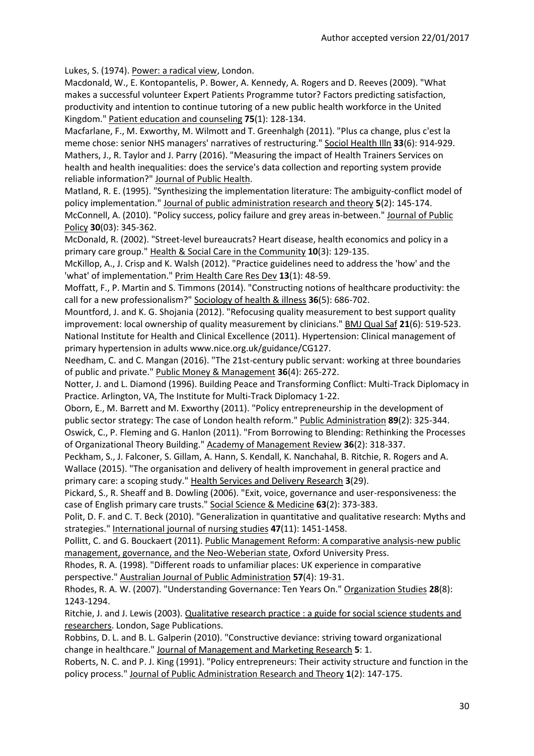Lukes, S. (1974). Power: a radical view, London.

Macdonald, W., E. Kontopantelis, P. Bower, A. Kennedy, A. Rogers and D. Reeves (2009). "What makes a successful volunteer Expert Patients Programme tutor? Factors predicting satisfaction, productivity and intention to continue tutoring of a new public health workforce in the United Kingdom." Patient education and counseling **75**(1): 128-134.

Macfarlane, F., M. Exworthy, M. Wilmott and T. Greenhalgh (2011). "Plus ca change, plus c'est la meme chose: senior NHS managers' narratives of restructuring." Sociol Health Illn **33**(6): 914-929. Mathers, J., R. Taylor and J. Parry (2016). "Measuring the impact of Health Trainers Services on health and health inequalities: does the service's data collection and reporting system provide reliable information?" Journal of Public Health.

Matland, R. E. (1995). "Synthesizing the implementation literature: The ambiguity-conflict model of policy implementation." Journal of public administration research and theory **5**(2): 145-174. McConnell, A. (2010). "Policy success, policy failure and grey areas in-between." Journal of Public Policy **30**(03): 345-362.

McDonald, R. (2002). "Street-level bureaucrats? Heart disease, health economics and policy in a primary care group." Health & Social Care in the Community **10**(3): 129-135.

McKillop, A., J. Crisp and K. Walsh (2012). "Practice guidelines need to address the 'how' and the 'what' of implementation." Prim Health Care Res Dev **13**(1): 48-59.

Moffatt, F., P. Martin and S. Timmons (2014). "Constructing notions of healthcare productivity: the call for a new professionalism?" Sociology of health & illness **36**(5): 686-702.

Mountford, J. and K. G. Shojania (2012). "Refocusing quality measurement to best support quality improvement: local ownership of quality measurement by clinicians." BMJ Qual Saf **21**(6): 519-523. National Institute for Health and Clinical Excellence (2011). Hypertension: Clinical management of primary hypertension in adults www.nice.org.uk/guidance/CG127.

Needham, C. and C. Mangan (2016). "The 21st-century public servant: working at three boundaries of public and private." Public Money & Management **36**(4): 265-272.

Notter, J. and L. Diamond (1996). Building Peace and Transforming Conflict: Multi-Track Diplomacy in Practice. Arlington, VA, The Institute for Multi-Track Diplomacy 1-22.

Oborn, E., M. Barrett and M. Exworthy (2011). "Policy entrepreneurship in the development of public sector strategy: The case of London health reform." Public Administration **89**(2): 325-344. Oswick, C., P. Fleming and G. Hanlon (2011). "From Borrowing to Blending: Rethinking the Processes of Organizational Theory Building." Academy of Management Review **36**(2): 318-337.

Peckham, S., J. Falconer, S. Gillam, A. Hann, S. Kendall, K. Nanchahal, B. Ritchie, R. Rogers and A. Wallace (2015). "The organisation and delivery of health improvement in general practice and primary care: a scoping study." Health Services and Delivery Research **3**(29).

Pickard, S., R. Sheaff and B. Dowling (2006). "Exit, voice, governance and user-responsiveness: the case of English primary care trusts." Social Science & Medicine **63**(2): 373-383.

Polit, D. F. and C. T. Beck (2010). "Generalization in quantitative and qualitative research: Myths and strategies." International journal of nursing studies **47**(11): 1451-1458.

Pollitt, C. and G. Bouckaert (2011). Public Management Reform: A comparative analysis-new public management, governance, and the Neo-Weberian state, Oxford University Press.

Rhodes, R. A. (1998). "Different roads to unfamiliar places: UK experience in comparative perspective." Australian Journal of Public Administration **57**(4): 19-31.

Rhodes, R. A. W. (2007). "Understanding Governance: Ten Years On." Organization Studies **28**(8): 1243-1294.

Ritchie, J. and J. Lewis (2003). Qualitative research practice : a guide for social science students and researchers. London, Sage Publications.

Robbins, D. L. and B. L. Galperin (2010). "Constructive deviance: striving toward organizational change in healthcare." Journal of Management and Marketing Research **5**: 1.

Roberts, N. C. and P. J. King (1991). "Policy entrepreneurs: Their activity structure and function in the policy process." Journal of Public Administration Research and Theory **1**(2): 147-175.